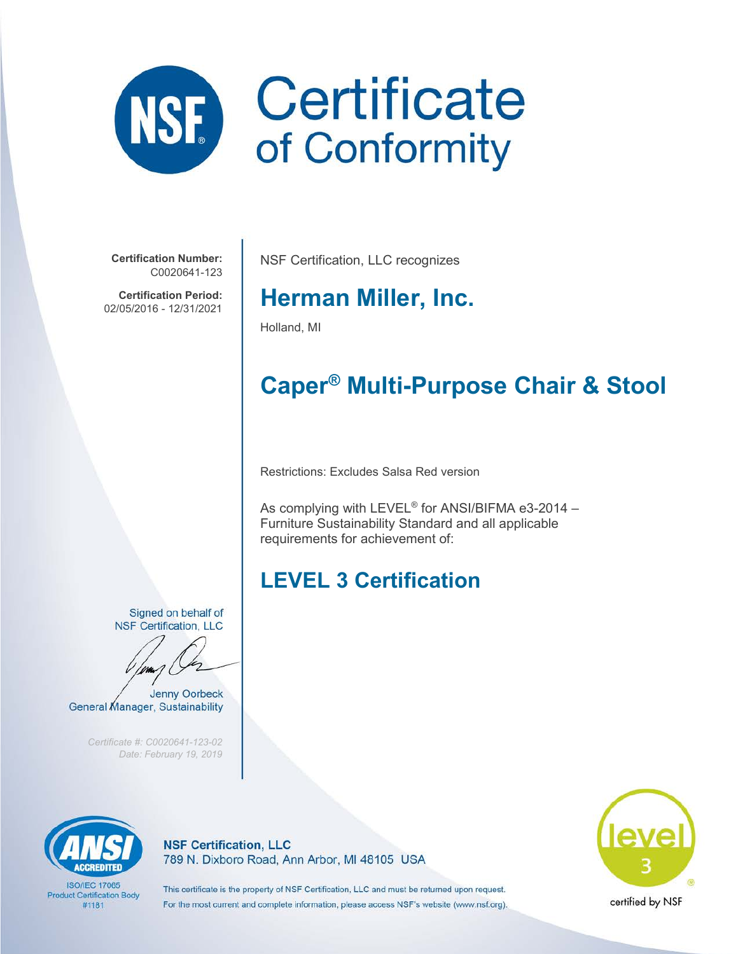

**Certification Number:** C0020641-123

**Certification Period:** 02/05/2016 - 12/31/2021

NSF Certification, LLC recognizes

## **Herman Miller, Inc.**

Holland, MI

# **Caper® Multi-Purpose Chair & Stool**

Restrictions: Excludes Salsa Red version

As complying with LEVEL® for ANSI/BIFMA e3-2014 – Furniture Sustainability Standard and all applicable requirements for achievement of:

## **LEVEL 3 Certification**

Signed on behalf of **NSF Certification, LLC** 

**Jenny Oorbeck** General Manager, Sustainability

*Certificate #: C0020641-123-02 Date: February 19, 2019*



**ISO/IFC 17065 Product Certification Body** #1181

**NSF Certification, LLC** 789 N. Dixboro Road, Ann Arbor, MI 48105 USA



This certificate is the property of NSF Certification, LLC and must be returned upon request. For the most current and complete information, please access NSF's website (www.nsf.org).

certified by NSF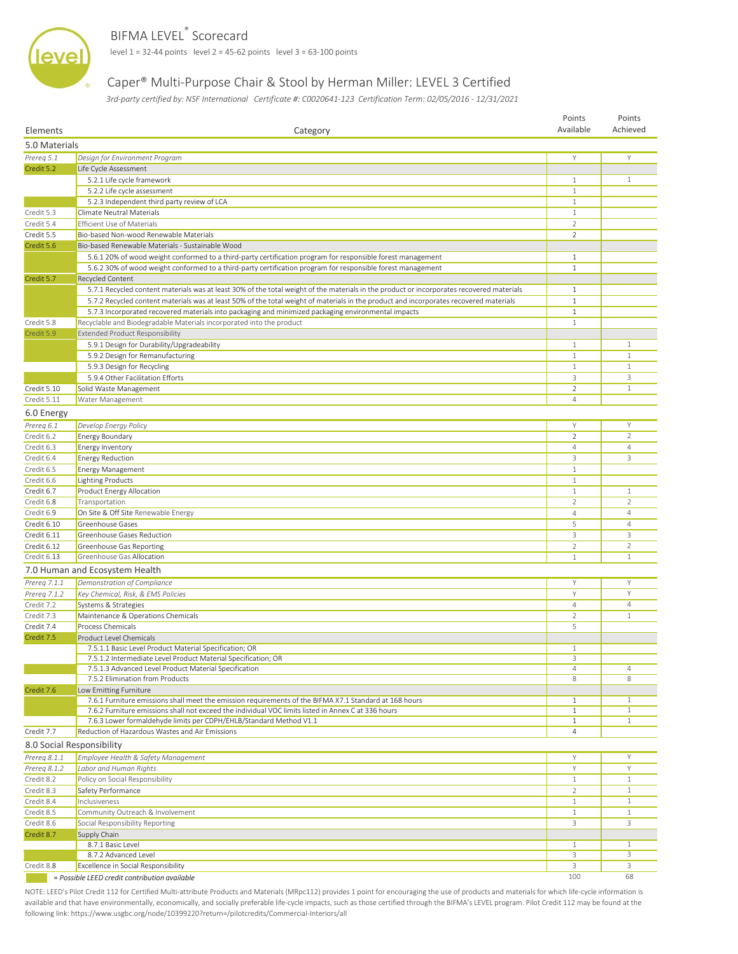

#### BIFMA LEVEL<sup>®</sup> Scorecard

**Level 1** = 32-44 points level 2 = 45-62 points level 3 = 63-100 points

#### Caper® Multi-Purpose Chair & Stool by Herman Miller: LEVEL 3 Certified

 *3rd-party certified by: NSF International Certificate #: C0020641-123 Certification Term: 02/05/2016 - 12/31/2021*

| 5.0 Materials<br>Prereg 5.1<br>Design for Environment Program<br>Υ<br>Y<br>Credit 5.2<br>Life Cycle Assessment<br>5.2.1 Life cycle framework<br>$\mathbf{1}$<br>$\mathbf{1}$<br>5.2.2 Life cycle assessment<br>$\mathbf{1}$<br>5.2.3 Independent third party review of LCA<br>$\mathbf{1}$<br>Credit 5.3<br>Climate Neutral Materials<br>$\mathbf{1}$<br>Credit 5.4<br><b>Efficient Use of Materials</b><br>$\overline{2}$<br>Credit 5.5<br>Bio-based Non-wood Renewable Materials<br>$\overline{2}$<br>Credit 5.6<br>Bio-based Renewable Materials - Sustainable Wood<br>5.6.1 20% of wood weight conformed to a third-party certification program for responsible forest management<br>$\mathbf{1}$<br>5.6.2 30% of wood weight conformed to a third-party certification program for responsible forest management<br>$\mathbf{1}$<br>Recycled Content<br>Credit 5.7<br>5.7.1 Recycled content materials was at least 30% of the total weight of the materials in the product or incorporates recovered materials<br>$\mathbf{1}$<br>5.7.2 Recycled content materials was at least 50% of the total weight of materials in the product and incorporates recovered materials<br>$\mathbf{1}$<br>5.7.3 Incorporated recovered materials into packaging and minimized packaging environmental impacts<br>$\mathbf{1}$<br>Credit 5.8<br>Recyclable and Biodegradable Materials incorporated into the product<br>$\mathbf{1}$<br>Credit 5.9<br><b>Extended Product Responsibility</b><br>5.9.1 Design for Durability/Upgradeability<br>1<br>$\mathbf{1}$<br>$1\,$<br>$\mathbf{1}$<br>5.9.2 Design for Remanufacturing<br>$\mathbf{1}$<br>$1\,$<br>5.9.3 Design for Recycling<br>3<br>5.9.4 Other Facilitation Efforts<br>3<br>$\overline{2}$<br>Credit 5.10<br>$\mathbf{1}$<br>Solid Waste Management<br>Credit 5.11<br>4<br>Water Management<br>6.0 Energy<br>Prereg 6.1<br>Develop Energy Policy<br>Y<br>Y<br>$\overline{2}$<br>Credit 6.2<br><b>Energy Boundary</b><br>$\overline{2}$<br><b>Energy Inventory</b><br>Credit 6.3<br>4<br>4<br>3<br>Credit 6.4<br><b>Energy Reduction</b><br>3<br><b>Energy Management</b><br>Credit 6.5<br>$\mathbf{1}$<br>Credit 6.6<br><b>Lighting Products</b><br>$\mathbf{1}$<br>Product Energy Allocation<br>$\mathbf{1}$<br>Credit 6.7<br>$\mathbf{1}$<br>Credit 6.8<br>$\overline{2}$<br>$\overline{2}$<br>Transportation<br>On Site & Off Site Renewable Energy<br>Credit 6.9<br>$\overline{4}$<br>$\overline{4}$<br>5<br>$\overline{4}$<br>Credit 6.10<br>Greenhouse Gases<br>3<br>Credit 6.11<br>Greenhouse Gases Reduction<br>3<br>Credit 6.12<br>Greenhouse Gas Reporting<br>$\overline{2}$<br>2<br>Credit 6.13<br>Greenhouse Gas Allocation<br>$\mathbf{1}$<br>$\mathbf{1}$<br>7.0 Human and Ecosystem Health<br>Prereg 7.1.1<br>Demonstration of Compliance<br>Y<br>Υ<br>Υ<br>Prereg 7.1.2<br>Key Chemical, Risk, & EMS Policies<br>Y<br>$\overline{4}$<br>Credit 7.2<br>Systems & Strategies<br>$\overline{4}$<br>$\mathbf{1}$<br>Credit 7.3<br>Maintenance & Operations Chemicals<br>$\overline{2}$<br><b>Process Chemicals</b><br>5<br>Credit 7.4<br>Credit 7.5<br>Product Level Chemicals<br>7.5.1.1 Basic Level Product Material Specification; OR<br>$1\,$<br>7.5.1.2 Intermediate Level Product Material Specification; OR<br>3<br>$\overline{4}$<br>7.5.1.3 Advanced Level Product Material Specification<br>4<br>8<br>7.5.2 Elimination from Products<br>8<br>Credit 7.6<br>Low Emitting Furniture<br>$\mathbf{1}$<br>7.6.1 Furniture emissions shall meet the emission requirements of the BIFMA X7.1 Standard at 168 hours<br>$\mathbf{1}$<br>$\mathbf{1}$<br>7.6.2 Furniture emissions shall not exceed the individual VOC limits listed in Annex C at 336 hours<br>$\mathbf{1}$<br>7.6.3 Lower formaldehyde limits per CDPH/EHLB/Standard Method V1.1<br>$\mathbf{1}$<br>$\mathbf{1}$<br>Credit 7.7<br>Reduction of Hazardous Wastes and Air Emissions<br>4<br>8.0 Social Responsibility<br>Prereg 8.1.1<br>Employee Health & Safety Management<br>Y<br>Υ<br>Labor and Human Rights<br>Y<br>Prereq 8.1.2<br>Y<br>Credit 8.2<br>Policy on Social Responsibility<br>$\mathbf{1}$<br>$\mathbf{1}$<br>$\mathbf{1}$<br>Credit 8.3<br>Safety Performance<br>2<br>Credit 8.4<br>$\mathbf{1}$<br>Inclusiveness<br>$\mathbf{1}$<br>Credit 8.5<br>Community Outreach & Involvement<br>$\mathbf{1}$<br>$\mathbf{1}$<br>3<br>Credit 8.6<br>Social Responsibility Reporting<br>3<br>Credit 8.7<br>Supply Chain<br>8.7.1 Basic Level<br>$\mathbf{1}$<br>$\mathbf{1}$<br>3<br>3<br>8.7.2 Advanced Level<br>Credit 8.8<br>3<br>3<br>Excellence in Social Responsibility<br>100<br>68<br>= Possible LEED credit contribution available | Elements | Category | Points<br>Available | Points<br>Achieved |  |
|--------------------------------------------------------------------------------------------------------------------------------------------------------------------------------------------------------------------------------------------------------------------------------------------------------------------------------------------------------------------------------------------------------------------------------------------------------------------------------------------------------------------------------------------------------------------------------------------------------------------------------------------------------------------------------------------------------------------------------------------------------------------------------------------------------------------------------------------------------------------------------------------------------------------------------------------------------------------------------------------------------------------------------------------------------------------------------------------------------------------------------------------------------------------------------------------------------------------------------------------------------------------------------------------------------------------------------------------------------------------------------------------------------------------------------------------------------------------------------------------------------------------------------------------------------------------------------------------------------------------------------------------------------------------------------------------------------------------------------------------------------------------------------------------------------------------------------------------------------------------------------------------------------------------------------------------------------------------------------------------------------------------------------------------------------------------------------------------------------------------------------------------------------------------------------------------------------------------------------------------------------------------------------------------------------------------------------------------------------------------------------------------------------------------------------------------------------------------------------------------------------------------------------------------------------------------------------------------------------------------------------------------------------------------------------------------------------------------------------------------------------------------------------------------------------------------------------------------------------------------------------------------------------------------------------------------------------------------------------------------------------------------------------------------------------------------------------------------------------------------------------------------------------------------------------------------------------------------------------------------------------------------------------------------------------------------------------------------------------------------------------------------------------------------------------------------------------------------------------------------------------------------------------------------------------------------------------------------------------------------------------------------------------------------------------------------------------------------------------------------------------------------------------------------------------------------------------------------------------------------------------------------------------------------------------------------------------------------------------------------------------------------------------------------------------------------------------------------------------------------------------------------------------------------------------------------------------------------------------------------------------------------------------------------------------------------------------------------------------------------------------------------------------------------------------------------------------------------------------------------------------------------------------------------------------------------------------------------------------------------------------------------------------------------------------|----------|----------|---------------------|--------------------|--|
|                                                                                                                                                                                                                                                                                                                                                                                                                                                                                                                                                                                                                                                                                                                                                                                                                                                                                                                                                                                                                                                                                                                                                                                                                                                                                                                                                                                                                                                                                                                                                                                                                                                                                                                                                                                                                                                                                                                                                                                                                                                                                                                                                                                                                                                                                                                                                                                                                                                                                                                                                                                                                                                                                                                                                                                                                                                                                                                                                                                                                                                                                                                                                                                                                                                                                                                                                                                                                                                                                                                                                                                                                                                                                                                                                                                                                                                                                                                                                                                                                                                                                                                                                                                                                                                                                                                                                                                                                                                                                                                                                                                                                                                                                |          |          |                     |                    |  |
|                                                                                                                                                                                                                                                                                                                                                                                                                                                                                                                                                                                                                                                                                                                                                                                                                                                                                                                                                                                                                                                                                                                                                                                                                                                                                                                                                                                                                                                                                                                                                                                                                                                                                                                                                                                                                                                                                                                                                                                                                                                                                                                                                                                                                                                                                                                                                                                                                                                                                                                                                                                                                                                                                                                                                                                                                                                                                                                                                                                                                                                                                                                                                                                                                                                                                                                                                                                                                                                                                                                                                                                                                                                                                                                                                                                                                                                                                                                                                                                                                                                                                                                                                                                                                                                                                                                                                                                                                                                                                                                                                                                                                                                                                |          |          |                     |                    |  |
|                                                                                                                                                                                                                                                                                                                                                                                                                                                                                                                                                                                                                                                                                                                                                                                                                                                                                                                                                                                                                                                                                                                                                                                                                                                                                                                                                                                                                                                                                                                                                                                                                                                                                                                                                                                                                                                                                                                                                                                                                                                                                                                                                                                                                                                                                                                                                                                                                                                                                                                                                                                                                                                                                                                                                                                                                                                                                                                                                                                                                                                                                                                                                                                                                                                                                                                                                                                                                                                                                                                                                                                                                                                                                                                                                                                                                                                                                                                                                                                                                                                                                                                                                                                                                                                                                                                                                                                                                                                                                                                                                                                                                                                                                |          |          |                     |                    |  |
|                                                                                                                                                                                                                                                                                                                                                                                                                                                                                                                                                                                                                                                                                                                                                                                                                                                                                                                                                                                                                                                                                                                                                                                                                                                                                                                                                                                                                                                                                                                                                                                                                                                                                                                                                                                                                                                                                                                                                                                                                                                                                                                                                                                                                                                                                                                                                                                                                                                                                                                                                                                                                                                                                                                                                                                                                                                                                                                                                                                                                                                                                                                                                                                                                                                                                                                                                                                                                                                                                                                                                                                                                                                                                                                                                                                                                                                                                                                                                                                                                                                                                                                                                                                                                                                                                                                                                                                                                                                                                                                                                                                                                                                                                |          |          |                     |                    |  |
|                                                                                                                                                                                                                                                                                                                                                                                                                                                                                                                                                                                                                                                                                                                                                                                                                                                                                                                                                                                                                                                                                                                                                                                                                                                                                                                                                                                                                                                                                                                                                                                                                                                                                                                                                                                                                                                                                                                                                                                                                                                                                                                                                                                                                                                                                                                                                                                                                                                                                                                                                                                                                                                                                                                                                                                                                                                                                                                                                                                                                                                                                                                                                                                                                                                                                                                                                                                                                                                                                                                                                                                                                                                                                                                                                                                                                                                                                                                                                                                                                                                                                                                                                                                                                                                                                                                                                                                                                                                                                                                                                                                                                                                                                |          |          |                     |                    |  |
|                                                                                                                                                                                                                                                                                                                                                                                                                                                                                                                                                                                                                                                                                                                                                                                                                                                                                                                                                                                                                                                                                                                                                                                                                                                                                                                                                                                                                                                                                                                                                                                                                                                                                                                                                                                                                                                                                                                                                                                                                                                                                                                                                                                                                                                                                                                                                                                                                                                                                                                                                                                                                                                                                                                                                                                                                                                                                                                                                                                                                                                                                                                                                                                                                                                                                                                                                                                                                                                                                                                                                                                                                                                                                                                                                                                                                                                                                                                                                                                                                                                                                                                                                                                                                                                                                                                                                                                                                                                                                                                                                                                                                                                                                |          |          |                     |                    |  |
|                                                                                                                                                                                                                                                                                                                                                                                                                                                                                                                                                                                                                                                                                                                                                                                                                                                                                                                                                                                                                                                                                                                                                                                                                                                                                                                                                                                                                                                                                                                                                                                                                                                                                                                                                                                                                                                                                                                                                                                                                                                                                                                                                                                                                                                                                                                                                                                                                                                                                                                                                                                                                                                                                                                                                                                                                                                                                                                                                                                                                                                                                                                                                                                                                                                                                                                                                                                                                                                                                                                                                                                                                                                                                                                                                                                                                                                                                                                                                                                                                                                                                                                                                                                                                                                                                                                                                                                                                                                                                                                                                                                                                                                                                |          |          |                     |                    |  |
|                                                                                                                                                                                                                                                                                                                                                                                                                                                                                                                                                                                                                                                                                                                                                                                                                                                                                                                                                                                                                                                                                                                                                                                                                                                                                                                                                                                                                                                                                                                                                                                                                                                                                                                                                                                                                                                                                                                                                                                                                                                                                                                                                                                                                                                                                                                                                                                                                                                                                                                                                                                                                                                                                                                                                                                                                                                                                                                                                                                                                                                                                                                                                                                                                                                                                                                                                                                                                                                                                                                                                                                                                                                                                                                                                                                                                                                                                                                                                                                                                                                                                                                                                                                                                                                                                                                                                                                                                                                                                                                                                                                                                                                                                |          |          |                     |                    |  |
|                                                                                                                                                                                                                                                                                                                                                                                                                                                                                                                                                                                                                                                                                                                                                                                                                                                                                                                                                                                                                                                                                                                                                                                                                                                                                                                                                                                                                                                                                                                                                                                                                                                                                                                                                                                                                                                                                                                                                                                                                                                                                                                                                                                                                                                                                                                                                                                                                                                                                                                                                                                                                                                                                                                                                                                                                                                                                                                                                                                                                                                                                                                                                                                                                                                                                                                                                                                                                                                                                                                                                                                                                                                                                                                                                                                                                                                                                                                                                                                                                                                                                                                                                                                                                                                                                                                                                                                                                                                                                                                                                                                                                                                                                |          |          |                     |                    |  |
|                                                                                                                                                                                                                                                                                                                                                                                                                                                                                                                                                                                                                                                                                                                                                                                                                                                                                                                                                                                                                                                                                                                                                                                                                                                                                                                                                                                                                                                                                                                                                                                                                                                                                                                                                                                                                                                                                                                                                                                                                                                                                                                                                                                                                                                                                                                                                                                                                                                                                                                                                                                                                                                                                                                                                                                                                                                                                                                                                                                                                                                                                                                                                                                                                                                                                                                                                                                                                                                                                                                                                                                                                                                                                                                                                                                                                                                                                                                                                                                                                                                                                                                                                                                                                                                                                                                                                                                                                                                                                                                                                                                                                                                                                |          |          |                     |                    |  |
|                                                                                                                                                                                                                                                                                                                                                                                                                                                                                                                                                                                                                                                                                                                                                                                                                                                                                                                                                                                                                                                                                                                                                                                                                                                                                                                                                                                                                                                                                                                                                                                                                                                                                                                                                                                                                                                                                                                                                                                                                                                                                                                                                                                                                                                                                                                                                                                                                                                                                                                                                                                                                                                                                                                                                                                                                                                                                                                                                                                                                                                                                                                                                                                                                                                                                                                                                                                                                                                                                                                                                                                                                                                                                                                                                                                                                                                                                                                                                                                                                                                                                                                                                                                                                                                                                                                                                                                                                                                                                                                                                                                                                                                                                |          |          |                     |                    |  |
|                                                                                                                                                                                                                                                                                                                                                                                                                                                                                                                                                                                                                                                                                                                                                                                                                                                                                                                                                                                                                                                                                                                                                                                                                                                                                                                                                                                                                                                                                                                                                                                                                                                                                                                                                                                                                                                                                                                                                                                                                                                                                                                                                                                                                                                                                                                                                                                                                                                                                                                                                                                                                                                                                                                                                                                                                                                                                                                                                                                                                                                                                                                                                                                                                                                                                                                                                                                                                                                                                                                                                                                                                                                                                                                                                                                                                                                                                                                                                                                                                                                                                                                                                                                                                                                                                                                                                                                                                                                                                                                                                                                                                                                                                |          |          |                     |                    |  |
|                                                                                                                                                                                                                                                                                                                                                                                                                                                                                                                                                                                                                                                                                                                                                                                                                                                                                                                                                                                                                                                                                                                                                                                                                                                                                                                                                                                                                                                                                                                                                                                                                                                                                                                                                                                                                                                                                                                                                                                                                                                                                                                                                                                                                                                                                                                                                                                                                                                                                                                                                                                                                                                                                                                                                                                                                                                                                                                                                                                                                                                                                                                                                                                                                                                                                                                                                                                                                                                                                                                                                                                                                                                                                                                                                                                                                                                                                                                                                                                                                                                                                                                                                                                                                                                                                                                                                                                                                                                                                                                                                                                                                                                                                |          |          |                     |                    |  |
|                                                                                                                                                                                                                                                                                                                                                                                                                                                                                                                                                                                                                                                                                                                                                                                                                                                                                                                                                                                                                                                                                                                                                                                                                                                                                                                                                                                                                                                                                                                                                                                                                                                                                                                                                                                                                                                                                                                                                                                                                                                                                                                                                                                                                                                                                                                                                                                                                                                                                                                                                                                                                                                                                                                                                                                                                                                                                                                                                                                                                                                                                                                                                                                                                                                                                                                                                                                                                                                                                                                                                                                                                                                                                                                                                                                                                                                                                                                                                                                                                                                                                                                                                                                                                                                                                                                                                                                                                                                                                                                                                                                                                                                                                |          |          |                     |                    |  |
|                                                                                                                                                                                                                                                                                                                                                                                                                                                                                                                                                                                                                                                                                                                                                                                                                                                                                                                                                                                                                                                                                                                                                                                                                                                                                                                                                                                                                                                                                                                                                                                                                                                                                                                                                                                                                                                                                                                                                                                                                                                                                                                                                                                                                                                                                                                                                                                                                                                                                                                                                                                                                                                                                                                                                                                                                                                                                                                                                                                                                                                                                                                                                                                                                                                                                                                                                                                                                                                                                                                                                                                                                                                                                                                                                                                                                                                                                                                                                                                                                                                                                                                                                                                                                                                                                                                                                                                                                                                                                                                                                                                                                                                                                |          |          |                     |                    |  |
|                                                                                                                                                                                                                                                                                                                                                                                                                                                                                                                                                                                                                                                                                                                                                                                                                                                                                                                                                                                                                                                                                                                                                                                                                                                                                                                                                                                                                                                                                                                                                                                                                                                                                                                                                                                                                                                                                                                                                                                                                                                                                                                                                                                                                                                                                                                                                                                                                                                                                                                                                                                                                                                                                                                                                                                                                                                                                                                                                                                                                                                                                                                                                                                                                                                                                                                                                                                                                                                                                                                                                                                                                                                                                                                                                                                                                                                                                                                                                                                                                                                                                                                                                                                                                                                                                                                                                                                                                                                                                                                                                                                                                                                                                |          |          |                     |                    |  |
|                                                                                                                                                                                                                                                                                                                                                                                                                                                                                                                                                                                                                                                                                                                                                                                                                                                                                                                                                                                                                                                                                                                                                                                                                                                                                                                                                                                                                                                                                                                                                                                                                                                                                                                                                                                                                                                                                                                                                                                                                                                                                                                                                                                                                                                                                                                                                                                                                                                                                                                                                                                                                                                                                                                                                                                                                                                                                                                                                                                                                                                                                                                                                                                                                                                                                                                                                                                                                                                                                                                                                                                                                                                                                                                                                                                                                                                                                                                                                                                                                                                                                                                                                                                                                                                                                                                                                                                                                                                                                                                                                                                                                                                                                |          |          |                     |                    |  |
|                                                                                                                                                                                                                                                                                                                                                                                                                                                                                                                                                                                                                                                                                                                                                                                                                                                                                                                                                                                                                                                                                                                                                                                                                                                                                                                                                                                                                                                                                                                                                                                                                                                                                                                                                                                                                                                                                                                                                                                                                                                                                                                                                                                                                                                                                                                                                                                                                                                                                                                                                                                                                                                                                                                                                                                                                                                                                                                                                                                                                                                                                                                                                                                                                                                                                                                                                                                                                                                                                                                                                                                                                                                                                                                                                                                                                                                                                                                                                                                                                                                                                                                                                                                                                                                                                                                                                                                                                                                                                                                                                                                                                                                                                |          |          |                     |                    |  |
|                                                                                                                                                                                                                                                                                                                                                                                                                                                                                                                                                                                                                                                                                                                                                                                                                                                                                                                                                                                                                                                                                                                                                                                                                                                                                                                                                                                                                                                                                                                                                                                                                                                                                                                                                                                                                                                                                                                                                                                                                                                                                                                                                                                                                                                                                                                                                                                                                                                                                                                                                                                                                                                                                                                                                                                                                                                                                                                                                                                                                                                                                                                                                                                                                                                                                                                                                                                                                                                                                                                                                                                                                                                                                                                                                                                                                                                                                                                                                                                                                                                                                                                                                                                                                                                                                                                                                                                                                                                                                                                                                                                                                                                                                |          |          |                     |                    |  |
|                                                                                                                                                                                                                                                                                                                                                                                                                                                                                                                                                                                                                                                                                                                                                                                                                                                                                                                                                                                                                                                                                                                                                                                                                                                                                                                                                                                                                                                                                                                                                                                                                                                                                                                                                                                                                                                                                                                                                                                                                                                                                                                                                                                                                                                                                                                                                                                                                                                                                                                                                                                                                                                                                                                                                                                                                                                                                                                                                                                                                                                                                                                                                                                                                                                                                                                                                                                                                                                                                                                                                                                                                                                                                                                                                                                                                                                                                                                                                                                                                                                                                                                                                                                                                                                                                                                                                                                                                                                                                                                                                                                                                                                                                |          |          |                     |                    |  |
|                                                                                                                                                                                                                                                                                                                                                                                                                                                                                                                                                                                                                                                                                                                                                                                                                                                                                                                                                                                                                                                                                                                                                                                                                                                                                                                                                                                                                                                                                                                                                                                                                                                                                                                                                                                                                                                                                                                                                                                                                                                                                                                                                                                                                                                                                                                                                                                                                                                                                                                                                                                                                                                                                                                                                                                                                                                                                                                                                                                                                                                                                                                                                                                                                                                                                                                                                                                                                                                                                                                                                                                                                                                                                                                                                                                                                                                                                                                                                                                                                                                                                                                                                                                                                                                                                                                                                                                                                                                                                                                                                                                                                                                                                |          |          |                     |                    |  |
|                                                                                                                                                                                                                                                                                                                                                                                                                                                                                                                                                                                                                                                                                                                                                                                                                                                                                                                                                                                                                                                                                                                                                                                                                                                                                                                                                                                                                                                                                                                                                                                                                                                                                                                                                                                                                                                                                                                                                                                                                                                                                                                                                                                                                                                                                                                                                                                                                                                                                                                                                                                                                                                                                                                                                                                                                                                                                                                                                                                                                                                                                                                                                                                                                                                                                                                                                                                                                                                                                                                                                                                                                                                                                                                                                                                                                                                                                                                                                                                                                                                                                                                                                                                                                                                                                                                                                                                                                                                                                                                                                                                                                                                                                |          |          |                     |                    |  |
|                                                                                                                                                                                                                                                                                                                                                                                                                                                                                                                                                                                                                                                                                                                                                                                                                                                                                                                                                                                                                                                                                                                                                                                                                                                                                                                                                                                                                                                                                                                                                                                                                                                                                                                                                                                                                                                                                                                                                                                                                                                                                                                                                                                                                                                                                                                                                                                                                                                                                                                                                                                                                                                                                                                                                                                                                                                                                                                                                                                                                                                                                                                                                                                                                                                                                                                                                                                                                                                                                                                                                                                                                                                                                                                                                                                                                                                                                                                                                                                                                                                                                                                                                                                                                                                                                                                                                                                                                                                                                                                                                                                                                                                                                |          |          |                     |                    |  |
|                                                                                                                                                                                                                                                                                                                                                                                                                                                                                                                                                                                                                                                                                                                                                                                                                                                                                                                                                                                                                                                                                                                                                                                                                                                                                                                                                                                                                                                                                                                                                                                                                                                                                                                                                                                                                                                                                                                                                                                                                                                                                                                                                                                                                                                                                                                                                                                                                                                                                                                                                                                                                                                                                                                                                                                                                                                                                                                                                                                                                                                                                                                                                                                                                                                                                                                                                                                                                                                                                                                                                                                                                                                                                                                                                                                                                                                                                                                                                                                                                                                                                                                                                                                                                                                                                                                                                                                                                                                                                                                                                                                                                                                                                |          |          |                     |                    |  |
|                                                                                                                                                                                                                                                                                                                                                                                                                                                                                                                                                                                                                                                                                                                                                                                                                                                                                                                                                                                                                                                                                                                                                                                                                                                                                                                                                                                                                                                                                                                                                                                                                                                                                                                                                                                                                                                                                                                                                                                                                                                                                                                                                                                                                                                                                                                                                                                                                                                                                                                                                                                                                                                                                                                                                                                                                                                                                                                                                                                                                                                                                                                                                                                                                                                                                                                                                                                                                                                                                                                                                                                                                                                                                                                                                                                                                                                                                                                                                                                                                                                                                                                                                                                                                                                                                                                                                                                                                                                                                                                                                                                                                                                                                |          |          |                     |                    |  |
|                                                                                                                                                                                                                                                                                                                                                                                                                                                                                                                                                                                                                                                                                                                                                                                                                                                                                                                                                                                                                                                                                                                                                                                                                                                                                                                                                                                                                                                                                                                                                                                                                                                                                                                                                                                                                                                                                                                                                                                                                                                                                                                                                                                                                                                                                                                                                                                                                                                                                                                                                                                                                                                                                                                                                                                                                                                                                                                                                                                                                                                                                                                                                                                                                                                                                                                                                                                                                                                                                                                                                                                                                                                                                                                                                                                                                                                                                                                                                                                                                                                                                                                                                                                                                                                                                                                                                                                                                                                                                                                                                                                                                                                                                |          |          |                     |                    |  |
|                                                                                                                                                                                                                                                                                                                                                                                                                                                                                                                                                                                                                                                                                                                                                                                                                                                                                                                                                                                                                                                                                                                                                                                                                                                                                                                                                                                                                                                                                                                                                                                                                                                                                                                                                                                                                                                                                                                                                                                                                                                                                                                                                                                                                                                                                                                                                                                                                                                                                                                                                                                                                                                                                                                                                                                                                                                                                                                                                                                                                                                                                                                                                                                                                                                                                                                                                                                                                                                                                                                                                                                                                                                                                                                                                                                                                                                                                                                                                                                                                                                                                                                                                                                                                                                                                                                                                                                                                                                                                                                                                                                                                                                                                |          |          |                     |                    |  |
|                                                                                                                                                                                                                                                                                                                                                                                                                                                                                                                                                                                                                                                                                                                                                                                                                                                                                                                                                                                                                                                                                                                                                                                                                                                                                                                                                                                                                                                                                                                                                                                                                                                                                                                                                                                                                                                                                                                                                                                                                                                                                                                                                                                                                                                                                                                                                                                                                                                                                                                                                                                                                                                                                                                                                                                                                                                                                                                                                                                                                                                                                                                                                                                                                                                                                                                                                                                                                                                                                                                                                                                                                                                                                                                                                                                                                                                                                                                                                                                                                                                                                                                                                                                                                                                                                                                                                                                                                                                                                                                                                                                                                                                                                |          |          |                     |                    |  |
|                                                                                                                                                                                                                                                                                                                                                                                                                                                                                                                                                                                                                                                                                                                                                                                                                                                                                                                                                                                                                                                                                                                                                                                                                                                                                                                                                                                                                                                                                                                                                                                                                                                                                                                                                                                                                                                                                                                                                                                                                                                                                                                                                                                                                                                                                                                                                                                                                                                                                                                                                                                                                                                                                                                                                                                                                                                                                                                                                                                                                                                                                                                                                                                                                                                                                                                                                                                                                                                                                                                                                                                                                                                                                                                                                                                                                                                                                                                                                                                                                                                                                                                                                                                                                                                                                                                                                                                                                                                                                                                                                                                                                                                                                |          |          |                     |                    |  |
|                                                                                                                                                                                                                                                                                                                                                                                                                                                                                                                                                                                                                                                                                                                                                                                                                                                                                                                                                                                                                                                                                                                                                                                                                                                                                                                                                                                                                                                                                                                                                                                                                                                                                                                                                                                                                                                                                                                                                                                                                                                                                                                                                                                                                                                                                                                                                                                                                                                                                                                                                                                                                                                                                                                                                                                                                                                                                                                                                                                                                                                                                                                                                                                                                                                                                                                                                                                                                                                                                                                                                                                                                                                                                                                                                                                                                                                                                                                                                                                                                                                                                                                                                                                                                                                                                                                                                                                                                                                                                                                                                                                                                                                                                |          |          |                     |                    |  |
|                                                                                                                                                                                                                                                                                                                                                                                                                                                                                                                                                                                                                                                                                                                                                                                                                                                                                                                                                                                                                                                                                                                                                                                                                                                                                                                                                                                                                                                                                                                                                                                                                                                                                                                                                                                                                                                                                                                                                                                                                                                                                                                                                                                                                                                                                                                                                                                                                                                                                                                                                                                                                                                                                                                                                                                                                                                                                                                                                                                                                                                                                                                                                                                                                                                                                                                                                                                                                                                                                                                                                                                                                                                                                                                                                                                                                                                                                                                                                                                                                                                                                                                                                                                                                                                                                                                                                                                                                                                                                                                                                                                                                                                                                |          |          |                     |                    |  |
|                                                                                                                                                                                                                                                                                                                                                                                                                                                                                                                                                                                                                                                                                                                                                                                                                                                                                                                                                                                                                                                                                                                                                                                                                                                                                                                                                                                                                                                                                                                                                                                                                                                                                                                                                                                                                                                                                                                                                                                                                                                                                                                                                                                                                                                                                                                                                                                                                                                                                                                                                                                                                                                                                                                                                                                                                                                                                                                                                                                                                                                                                                                                                                                                                                                                                                                                                                                                                                                                                                                                                                                                                                                                                                                                                                                                                                                                                                                                                                                                                                                                                                                                                                                                                                                                                                                                                                                                                                                                                                                                                                                                                                                                                |          |          |                     |                    |  |
|                                                                                                                                                                                                                                                                                                                                                                                                                                                                                                                                                                                                                                                                                                                                                                                                                                                                                                                                                                                                                                                                                                                                                                                                                                                                                                                                                                                                                                                                                                                                                                                                                                                                                                                                                                                                                                                                                                                                                                                                                                                                                                                                                                                                                                                                                                                                                                                                                                                                                                                                                                                                                                                                                                                                                                                                                                                                                                                                                                                                                                                                                                                                                                                                                                                                                                                                                                                                                                                                                                                                                                                                                                                                                                                                                                                                                                                                                                                                                                                                                                                                                                                                                                                                                                                                                                                                                                                                                                                                                                                                                                                                                                                                                |          |          |                     |                    |  |
|                                                                                                                                                                                                                                                                                                                                                                                                                                                                                                                                                                                                                                                                                                                                                                                                                                                                                                                                                                                                                                                                                                                                                                                                                                                                                                                                                                                                                                                                                                                                                                                                                                                                                                                                                                                                                                                                                                                                                                                                                                                                                                                                                                                                                                                                                                                                                                                                                                                                                                                                                                                                                                                                                                                                                                                                                                                                                                                                                                                                                                                                                                                                                                                                                                                                                                                                                                                                                                                                                                                                                                                                                                                                                                                                                                                                                                                                                                                                                                                                                                                                                                                                                                                                                                                                                                                                                                                                                                                                                                                                                                                                                                                                                |          |          |                     |                    |  |
|                                                                                                                                                                                                                                                                                                                                                                                                                                                                                                                                                                                                                                                                                                                                                                                                                                                                                                                                                                                                                                                                                                                                                                                                                                                                                                                                                                                                                                                                                                                                                                                                                                                                                                                                                                                                                                                                                                                                                                                                                                                                                                                                                                                                                                                                                                                                                                                                                                                                                                                                                                                                                                                                                                                                                                                                                                                                                                                                                                                                                                                                                                                                                                                                                                                                                                                                                                                                                                                                                                                                                                                                                                                                                                                                                                                                                                                                                                                                                                                                                                                                                                                                                                                                                                                                                                                                                                                                                                                                                                                                                                                                                                                                                |          |          |                     |                    |  |
|                                                                                                                                                                                                                                                                                                                                                                                                                                                                                                                                                                                                                                                                                                                                                                                                                                                                                                                                                                                                                                                                                                                                                                                                                                                                                                                                                                                                                                                                                                                                                                                                                                                                                                                                                                                                                                                                                                                                                                                                                                                                                                                                                                                                                                                                                                                                                                                                                                                                                                                                                                                                                                                                                                                                                                                                                                                                                                                                                                                                                                                                                                                                                                                                                                                                                                                                                                                                                                                                                                                                                                                                                                                                                                                                                                                                                                                                                                                                                                                                                                                                                                                                                                                                                                                                                                                                                                                                                                                                                                                                                                                                                                                                                |          |          |                     |                    |  |
|                                                                                                                                                                                                                                                                                                                                                                                                                                                                                                                                                                                                                                                                                                                                                                                                                                                                                                                                                                                                                                                                                                                                                                                                                                                                                                                                                                                                                                                                                                                                                                                                                                                                                                                                                                                                                                                                                                                                                                                                                                                                                                                                                                                                                                                                                                                                                                                                                                                                                                                                                                                                                                                                                                                                                                                                                                                                                                                                                                                                                                                                                                                                                                                                                                                                                                                                                                                                                                                                                                                                                                                                                                                                                                                                                                                                                                                                                                                                                                                                                                                                                                                                                                                                                                                                                                                                                                                                                                                                                                                                                                                                                                                                                |          |          |                     |                    |  |
|                                                                                                                                                                                                                                                                                                                                                                                                                                                                                                                                                                                                                                                                                                                                                                                                                                                                                                                                                                                                                                                                                                                                                                                                                                                                                                                                                                                                                                                                                                                                                                                                                                                                                                                                                                                                                                                                                                                                                                                                                                                                                                                                                                                                                                                                                                                                                                                                                                                                                                                                                                                                                                                                                                                                                                                                                                                                                                                                                                                                                                                                                                                                                                                                                                                                                                                                                                                                                                                                                                                                                                                                                                                                                                                                                                                                                                                                                                                                                                                                                                                                                                                                                                                                                                                                                                                                                                                                                                                                                                                                                                                                                                                                                |          |          |                     |                    |  |
|                                                                                                                                                                                                                                                                                                                                                                                                                                                                                                                                                                                                                                                                                                                                                                                                                                                                                                                                                                                                                                                                                                                                                                                                                                                                                                                                                                                                                                                                                                                                                                                                                                                                                                                                                                                                                                                                                                                                                                                                                                                                                                                                                                                                                                                                                                                                                                                                                                                                                                                                                                                                                                                                                                                                                                                                                                                                                                                                                                                                                                                                                                                                                                                                                                                                                                                                                                                                                                                                                                                                                                                                                                                                                                                                                                                                                                                                                                                                                                                                                                                                                                                                                                                                                                                                                                                                                                                                                                                                                                                                                                                                                                                                                |          |          |                     |                    |  |
|                                                                                                                                                                                                                                                                                                                                                                                                                                                                                                                                                                                                                                                                                                                                                                                                                                                                                                                                                                                                                                                                                                                                                                                                                                                                                                                                                                                                                                                                                                                                                                                                                                                                                                                                                                                                                                                                                                                                                                                                                                                                                                                                                                                                                                                                                                                                                                                                                                                                                                                                                                                                                                                                                                                                                                                                                                                                                                                                                                                                                                                                                                                                                                                                                                                                                                                                                                                                                                                                                                                                                                                                                                                                                                                                                                                                                                                                                                                                                                                                                                                                                                                                                                                                                                                                                                                                                                                                                                                                                                                                                                                                                                                                                |          |          |                     |                    |  |
|                                                                                                                                                                                                                                                                                                                                                                                                                                                                                                                                                                                                                                                                                                                                                                                                                                                                                                                                                                                                                                                                                                                                                                                                                                                                                                                                                                                                                                                                                                                                                                                                                                                                                                                                                                                                                                                                                                                                                                                                                                                                                                                                                                                                                                                                                                                                                                                                                                                                                                                                                                                                                                                                                                                                                                                                                                                                                                                                                                                                                                                                                                                                                                                                                                                                                                                                                                                                                                                                                                                                                                                                                                                                                                                                                                                                                                                                                                                                                                                                                                                                                                                                                                                                                                                                                                                                                                                                                                                                                                                                                                                                                                                                                |          |          |                     |                    |  |
|                                                                                                                                                                                                                                                                                                                                                                                                                                                                                                                                                                                                                                                                                                                                                                                                                                                                                                                                                                                                                                                                                                                                                                                                                                                                                                                                                                                                                                                                                                                                                                                                                                                                                                                                                                                                                                                                                                                                                                                                                                                                                                                                                                                                                                                                                                                                                                                                                                                                                                                                                                                                                                                                                                                                                                                                                                                                                                                                                                                                                                                                                                                                                                                                                                                                                                                                                                                                                                                                                                                                                                                                                                                                                                                                                                                                                                                                                                                                                                                                                                                                                                                                                                                                                                                                                                                                                                                                                                                                                                                                                                                                                                                                                |          |          |                     |                    |  |
|                                                                                                                                                                                                                                                                                                                                                                                                                                                                                                                                                                                                                                                                                                                                                                                                                                                                                                                                                                                                                                                                                                                                                                                                                                                                                                                                                                                                                                                                                                                                                                                                                                                                                                                                                                                                                                                                                                                                                                                                                                                                                                                                                                                                                                                                                                                                                                                                                                                                                                                                                                                                                                                                                                                                                                                                                                                                                                                                                                                                                                                                                                                                                                                                                                                                                                                                                                                                                                                                                                                                                                                                                                                                                                                                                                                                                                                                                                                                                                                                                                                                                                                                                                                                                                                                                                                                                                                                                                                                                                                                                                                                                                                                                |          |          |                     |                    |  |
|                                                                                                                                                                                                                                                                                                                                                                                                                                                                                                                                                                                                                                                                                                                                                                                                                                                                                                                                                                                                                                                                                                                                                                                                                                                                                                                                                                                                                                                                                                                                                                                                                                                                                                                                                                                                                                                                                                                                                                                                                                                                                                                                                                                                                                                                                                                                                                                                                                                                                                                                                                                                                                                                                                                                                                                                                                                                                                                                                                                                                                                                                                                                                                                                                                                                                                                                                                                                                                                                                                                                                                                                                                                                                                                                                                                                                                                                                                                                                                                                                                                                                                                                                                                                                                                                                                                                                                                                                                                                                                                                                                                                                                                                                |          |          |                     |                    |  |
|                                                                                                                                                                                                                                                                                                                                                                                                                                                                                                                                                                                                                                                                                                                                                                                                                                                                                                                                                                                                                                                                                                                                                                                                                                                                                                                                                                                                                                                                                                                                                                                                                                                                                                                                                                                                                                                                                                                                                                                                                                                                                                                                                                                                                                                                                                                                                                                                                                                                                                                                                                                                                                                                                                                                                                                                                                                                                                                                                                                                                                                                                                                                                                                                                                                                                                                                                                                                                                                                                                                                                                                                                                                                                                                                                                                                                                                                                                                                                                                                                                                                                                                                                                                                                                                                                                                                                                                                                                                                                                                                                                                                                                                                                |          |          |                     |                    |  |
|                                                                                                                                                                                                                                                                                                                                                                                                                                                                                                                                                                                                                                                                                                                                                                                                                                                                                                                                                                                                                                                                                                                                                                                                                                                                                                                                                                                                                                                                                                                                                                                                                                                                                                                                                                                                                                                                                                                                                                                                                                                                                                                                                                                                                                                                                                                                                                                                                                                                                                                                                                                                                                                                                                                                                                                                                                                                                                                                                                                                                                                                                                                                                                                                                                                                                                                                                                                                                                                                                                                                                                                                                                                                                                                                                                                                                                                                                                                                                                                                                                                                                                                                                                                                                                                                                                                                                                                                                                                                                                                                                                                                                                                                                |          |          |                     |                    |  |
|                                                                                                                                                                                                                                                                                                                                                                                                                                                                                                                                                                                                                                                                                                                                                                                                                                                                                                                                                                                                                                                                                                                                                                                                                                                                                                                                                                                                                                                                                                                                                                                                                                                                                                                                                                                                                                                                                                                                                                                                                                                                                                                                                                                                                                                                                                                                                                                                                                                                                                                                                                                                                                                                                                                                                                                                                                                                                                                                                                                                                                                                                                                                                                                                                                                                                                                                                                                                                                                                                                                                                                                                                                                                                                                                                                                                                                                                                                                                                                                                                                                                                                                                                                                                                                                                                                                                                                                                                                                                                                                                                                                                                                                                                |          |          |                     |                    |  |
|                                                                                                                                                                                                                                                                                                                                                                                                                                                                                                                                                                                                                                                                                                                                                                                                                                                                                                                                                                                                                                                                                                                                                                                                                                                                                                                                                                                                                                                                                                                                                                                                                                                                                                                                                                                                                                                                                                                                                                                                                                                                                                                                                                                                                                                                                                                                                                                                                                                                                                                                                                                                                                                                                                                                                                                                                                                                                                                                                                                                                                                                                                                                                                                                                                                                                                                                                                                                                                                                                                                                                                                                                                                                                                                                                                                                                                                                                                                                                                                                                                                                                                                                                                                                                                                                                                                                                                                                                                                                                                                                                                                                                                                                                |          |          |                     |                    |  |
|                                                                                                                                                                                                                                                                                                                                                                                                                                                                                                                                                                                                                                                                                                                                                                                                                                                                                                                                                                                                                                                                                                                                                                                                                                                                                                                                                                                                                                                                                                                                                                                                                                                                                                                                                                                                                                                                                                                                                                                                                                                                                                                                                                                                                                                                                                                                                                                                                                                                                                                                                                                                                                                                                                                                                                                                                                                                                                                                                                                                                                                                                                                                                                                                                                                                                                                                                                                                                                                                                                                                                                                                                                                                                                                                                                                                                                                                                                                                                                                                                                                                                                                                                                                                                                                                                                                                                                                                                                                                                                                                                                                                                                                                                |          |          |                     |                    |  |
|                                                                                                                                                                                                                                                                                                                                                                                                                                                                                                                                                                                                                                                                                                                                                                                                                                                                                                                                                                                                                                                                                                                                                                                                                                                                                                                                                                                                                                                                                                                                                                                                                                                                                                                                                                                                                                                                                                                                                                                                                                                                                                                                                                                                                                                                                                                                                                                                                                                                                                                                                                                                                                                                                                                                                                                                                                                                                                                                                                                                                                                                                                                                                                                                                                                                                                                                                                                                                                                                                                                                                                                                                                                                                                                                                                                                                                                                                                                                                                                                                                                                                                                                                                                                                                                                                                                                                                                                                                                                                                                                                                                                                                                                                |          |          |                     |                    |  |
|                                                                                                                                                                                                                                                                                                                                                                                                                                                                                                                                                                                                                                                                                                                                                                                                                                                                                                                                                                                                                                                                                                                                                                                                                                                                                                                                                                                                                                                                                                                                                                                                                                                                                                                                                                                                                                                                                                                                                                                                                                                                                                                                                                                                                                                                                                                                                                                                                                                                                                                                                                                                                                                                                                                                                                                                                                                                                                                                                                                                                                                                                                                                                                                                                                                                                                                                                                                                                                                                                                                                                                                                                                                                                                                                                                                                                                                                                                                                                                                                                                                                                                                                                                                                                                                                                                                                                                                                                                                                                                                                                                                                                                                                                |          |          |                     |                    |  |
|                                                                                                                                                                                                                                                                                                                                                                                                                                                                                                                                                                                                                                                                                                                                                                                                                                                                                                                                                                                                                                                                                                                                                                                                                                                                                                                                                                                                                                                                                                                                                                                                                                                                                                                                                                                                                                                                                                                                                                                                                                                                                                                                                                                                                                                                                                                                                                                                                                                                                                                                                                                                                                                                                                                                                                                                                                                                                                                                                                                                                                                                                                                                                                                                                                                                                                                                                                                                                                                                                                                                                                                                                                                                                                                                                                                                                                                                                                                                                                                                                                                                                                                                                                                                                                                                                                                                                                                                                                                                                                                                                                                                                                                                                |          |          |                     |                    |  |
|                                                                                                                                                                                                                                                                                                                                                                                                                                                                                                                                                                                                                                                                                                                                                                                                                                                                                                                                                                                                                                                                                                                                                                                                                                                                                                                                                                                                                                                                                                                                                                                                                                                                                                                                                                                                                                                                                                                                                                                                                                                                                                                                                                                                                                                                                                                                                                                                                                                                                                                                                                                                                                                                                                                                                                                                                                                                                                                                                                                                                                                                                                                                                                                                                                                                                                                                                                                                                                                                                                                                                                                                                                                                                                                                                                                                                                                                                                                                                                                                                                                                                                                                                                                                                                                                                                                                                                                                                                                                                                                                                                                                                                                                                |          |          |                     |                    |  |
|                                                                                                                                                                                                                                                                                                                                                                                                                                                                                                                                                                                                                                                                                                                                                                                                                                                                                                                                                                                                                                                                                                                                                                                                                                                                                                                                                                                                                                                                                                                                                                                                                                                                                                                                                                                                                                                                                                                                                                                                                                                                                                                                                                                                                                                                                                                                                                                                                                                                                                                                                                                                                                                                                                                                                                                                                                                                                                                                                                                                                                                                                                                                                                                                                                                                                                                                                                                                                                                                                                                                                                                                                                                                                                                                                                                                                                                                                                                                                                                                                                                                                                                                                                                                                                                                                                                                                                                                                                                                                                                                                                                                                                                                                |          |          |                     |                    |  |
|                                                                                                                                                                                                                                                                                                                                                                                                                                                                                                                                                                                                                                                                                                                                                                                                                                                                                                                                                                                                                                                                                                                                                                                                                                                                                                                                                                                                                                                                                                                                                                                                                                                                                                                                                                                                                                                                                                                                                                                                                                                                                                                                                                                                                                                                                                                                                                                                                                                                                                                                                                                                                                                                                                                                                                                                                                                                                                                                                                                                                                                                                                                                                                                                                                                                                                                                                                                                                                                                                                                                                                                                                                                                                                                                                                                                                                                                                                                                                                                                                                                                                                                                                                                                                                                                                                                                                                                                                                                                                                                                                                                                                                                                                |          |          |                     |                    |  |
|                                                                                                                                                                                                                                                                                                                                                                                                                                                                                                                                                                                                                                                                                                                                                                                                                                                                                                                                                                                                                                                                                                                                                                                                                                                                                                                                                                                                                                                                                                                                                                                                                                                                                                                                                                                                                                                                                                                                                                                                                                                                                                                                                                                                                                                                                                                                                                                                                                                                                                                                                                                                                                                                                                                                                                                                                                                                                                                                                                                                                                                                                                                                                                                                                                                                                                                                                                                                                                                                                                                                                                                                                                                                                                                                                                                                                                                                                                                                                                                                                                                                                                                                                                                                                                                                                                                                                                                                                                                                                                                                                                                                                                                                                |          |          |                     |                    |  |
|                                                                                                                                                                                                                                                                                                                                                                                                                                                                                                                                                                                                                                                                                                                                                                                                                                                                                                                                                                                                                                                                                                                                                                                                                                                                                                                                                                                                                                                                                                                                                                                                                                                                                                                                                                                                                                                                                                                                                                                                                                                                                                                                                                                                                                                                                                                                                                                                                                                                                                                                                                                                                                                                                                                                                                                                                                                                                                                                                                                                                                                                                                                                                                                                                                                                                                                                                                                                                                                                                                                                                                                                                                                                                                                                                                                                                                                                                                                                                                                                                                                                                                                                                                                                                                                                                                                                                                                                                                                                                                                                                                                                                                                                                |          |          |                     |                    |  |
|                                                                                                                                                                                                                                                                                                                                                                                                                                                                                                                                                                                                                                                                                                                                                                                                                                                                                                                                                                                                                                                                                                                                                                                                                                                                                                                                                                                                                                                                                                                                                                                                                                                                                                                                                                                                                                                                                                                                                                                                                                                                                                                                                                                                                                                                                                                                                                                                                                                                                                                                                                                                                                                                                                                                                                                                                                                                                                                                                                                                                                                                                                                                                                                                                                                                                                                                                                                                                                                                                                                                                                                                                                                                                                                                                                                                                                                                                                                                                                                                                                                                                                                                                                                                                                                                                                                                                                                                                                                                                                                                                                                                                                                                                |          |          |                     |                    |  |
|                                                                                                                                                                                                                                                                                                                                                                                                                                                                                                                                                                                                                                                                                                                                                                                                                                                                                                                                                                                                                                                                                                                                                                                                                                                                                                                                                                                                                                                                                                                                                                                                                                                                                                                                                                                                                                                                                                                                                                                                                                                                                                                                                                                                                                                                                                                                                                                                                                                                                                                                                                                                                                                                                                                                                                                                                                                                                                                                                                                                                                                                                                                                                                                                                                                                                                                                                                                                                                                                                                                                                                                                                                                                                                                                                                                                                                                                                                                                                                                                                                                                                                                                                                                                                                                                                                                                                                                                                                                                                                                                                                                                                                                                                |          |          |                     |                    |  |
|                                                                                                                                                                                                                                                                                                                                                                                                                                                                                                                                                                                                                                                                                                                                                                                                                                                                                                                                                                                                                                                                                                                                                                                                                                                                                                                                                                                                                                                                                                                                                                                                                                                                                                                                                                                                                                                                                                                                                                                                                                                                                                                                                                                                                                                                                                                                                                                                                                                                                                                                                                                                                                                                                                                                                                                                                                                                                                                                                                                                                                                                                                                                                                                                                                                                                                                                                                                                                                                                                                                                                                                                                                                                                                                                                                                                                                                                                                                                                                                                                                                                                                                                                                                                                                                                                                                                                                                                                                                                                                                                                                                                                                                                                |          |          |                     |                    |  |
|                                                                                                                                                                                                                                                                                                                                                                                                                                                                                                                                                                                                                                                                                                                                                                                                                                                                                                                                                                                                                                                                                                                                                                                                                                                                                                                                                                                                                                                                                                                                                                                                                                                                                                                                                                                                                                                                                                                                                                                                                                                                                                                                                                                                                                                                                                                                                                                                                                                                                                                                                                                                                                                                                                                                                                                                                                                                                                                                                                                                                                                                                                                                                                                                                                                                                                                                                                                                                                                                                                                                                                                                                                                                                                                                                                                                                                                                                                                                                                                                                                                                                                                                                                                                                                                                                                                                                                                                                                                                                                                                                                                                                                                                                |          |          |                     |                    |  |
|                                                                                                                                                                                                                                                                                                                                                                                                                                                                                                                                                                                                                                                                                                                                                                                                                                                                                                                                                                                                                                                                                                                                                                                                                                                                                                                                                                                                                                                                                                                                                                                                                                                                                                                                                                                                                                                                                                                                                                                                                                                                                                                                                                                                                                                                                                                                                                                                                                                                                                                                                                                                                                                                                                                                                                                                                                                                                                                                                                                                                                                                                                                                                                                                                                                                                                                                                                                                                                                                                                                                                                                                                                                                                                                                                                                                                                                                                                                                                                                                                                                                                                                                                                                                                                                                                                                                                                                                                                                                                                                                                                                                                                                                                |          |          |                     |                    |  |
|                                                                                                                                                                                                                                                                                                                                                                                                                                                                                                                                                                                                                                                                                                                                                                                                                                                                                                                                                                                                                                                                                                                                                                                                                                                                                                                                                                                                                                                                                                                                                                                                                                                                                                                                                                                                                                                                                                                                                                                                                                                                                                                                                                                                                                                                                                                                                                                                                                                                                                                                                                                                                                                                                                                                                                                                                                                                                                                                                                                                                                                                                                                                                                                                                                                                                                                                                                                                                                                                                                                                                                                                                                                                                                                                                                                                                                                                                                                                                                                                                                                                                                                                                                                                                                                                                                                                                                                                                                                                                                                                                                                                                                                                                |          |          |                     |                    |  |
|                                                                                                                                                                                                                                                                                                                                                                                                                                                                                                                                                                                                                                                                                                                                                                                                                                                                                                                                                                                                                                                                                                                                                                                                                                                                                                                                                                                                                                                                                                                                                                                                                                                                                                                                                                                                                                                                                                                                                                                                                                                                                                                                                                                                                                                                                                                                                                                                                                                                                                                                                                                                                                                                                                                                                                                                                                                                                                                                                                                                                                                                                                                                                                                                                                                                                                                                                                                                                                                                                                                                                                                                                                                                                                                                                                                                                                                                                                                                                                                                                                                                                                                                                                                                                                                                                                                                                                                                                                                                                                                                                                                                                                                                                |          |          |                     |                    |  |
|                                                                                                                                                                                                                                                                                                                                                                                                                                                                                                                                                                                                                                                                                                                                                                                                                                                                                                                                                                                                                                                                                                                                                                                                                                                                                                                                                                                                                                                                                                                                                                                                                                                                                                                                                                                                                                                                                                                                                                                                                                                                                                                                                                                                                                                                                                                                                                                                                                                                                                                                                                                                                                                                                                                                                                                                                                                                                                                                                                                                                                                                                                                                                                                                                                                                                                                                                                                                                                                                                                                                                                                                                                                                                                                                                                                                                                                                                                                                                                                                                                                                                                                                                                                                                                                                                                                                                                                                                                                                                                                                                                                                                                                                                |          |          |                     |                    |  |

NOTE: LEED's Pilot Credit 112 for Certified Multi-attribute Products and Materials (MRpc112) provides 1 point for encouraging the use of products and materials for which life-cycle information is available and that have environmentally, economically, and socially preferable life-cycle impacts, such as those certified through the BIFMA's LEVEL program. Pilot Credit 112 may be found at the following link: https://www.usgbc.org/node/10399220?return=/pilotcredits/Commercial-Interiors/all